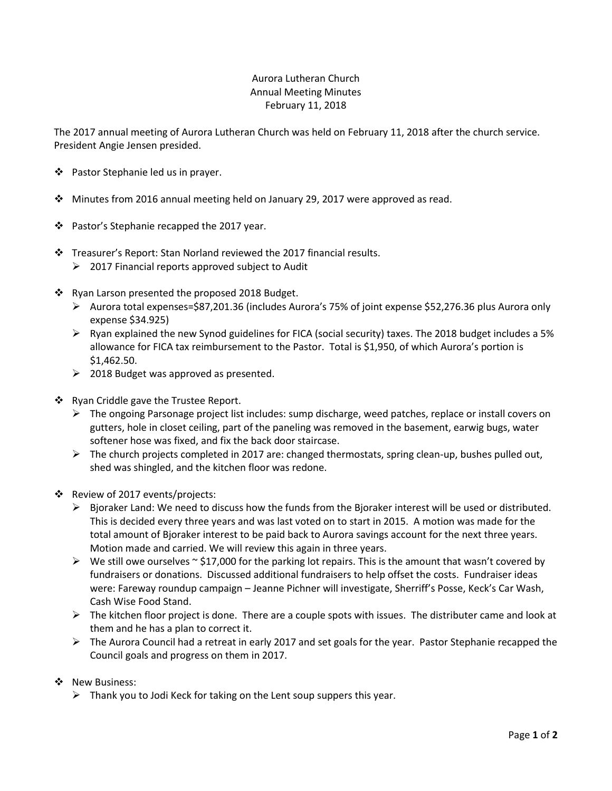## Aurora Lutheran Church Annual Meeting Minutes February 11, 2018

The 2017 annual meeting of Aurora Lutheran Church was held on February 11, 2018 after the church service. President Angie Jensen presided.

- ❖ Pastor Stephanie led us in prayer.
- $\div$  Minutes from 2016 annual meeting held on January 29, 2017 were approved as read.
- ❖ Pastor's Stephanie recapped the 2017 year.
- Treasurer's Report: Stan Norland reviewed the 2017 financial results.
	- $\geq$  2017 Financial reports approved subject to Audit
- ❖ Ryan Larson presented the proposed 2018 Budget.
	- $\triangleright$  Aurora total expenses=\$87,201.36 (includes Aurora's 75% of joint expense \$52,276.36 plus Aurora only expense \$34.925)
	- $\triangleright$  Ryan explained the new Synod guidelines for FICA (social security) taxes. The 2018 budget includes a 5% allowance for FICA tax reimbursement to the Pastor. Total is \$1,950, of which Aurora's portion is \$1,462.50.
	- $\geq$  2018 Budget was approved as presented.
- ❖ Ryan Criddle gave the Trustee Report.
	- The ongoing Parsonage project list includes: sump discharge, weed patches, replace or install covers on gutters, hole in closet ceiling, part of the paneling was removed in the basement, earwig bugs, water softener hose was fixed, and fix the back door staircase.
	- $\triangleright$  The church projects completed in 2017 are: changed thermostats, spring clean-up, bushes pulled out, shed was shingled, and the kitchen floor was redone.
- Review of 2017 events/projects:
	- $\triangleright$  Bjoraker Land: We need to discuss how the funds from the Bjoraker interest will be used or distributed. This is decided every three years and was last voted on to start in 2015. A motion was made for the total amount of Bjoraker interest to be paid back to Aurora savings account for the next three years. Motion made and carried. We will review this again in three years.
	- $\triangleright$  We still owe ourselves  $\sim$  \$17,000 for the parking lot repairs. This is the amount that wasn't covered by fundraisers or donations. Discussed additional fundraisers to help offset the costs. Fundraiser ideas were: Fareway roundup campaign – Jeanne Pichner will investigate, Sherriff's Posse, Keck's Car Wash, Cash Wise Food Stand.
	- $\triangleright$  The kitchen floor project is done. There are a couple spots with issues. The distributer came and look at them and he has a plan to correct it.
	- $\triangleright$  The Aurora Council had a retreat in early 2017 and set goals for the year. Pastor Stephanie recapped the Council goals and progress on them in 2017.
- ❖ New Business:
	- $\triangleright$  Thank you to Jodi Keck for taking on the Lent soup suppers this year.